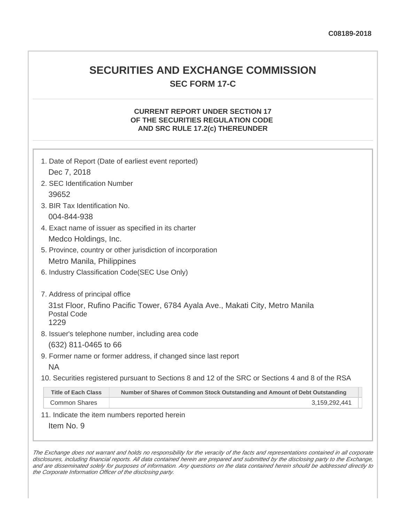## **SECURITIES AND EXCHANGE COMMISSION SEC FORM 17-C**

### **CURRENT REPORT UNDER SECTION 17 OF THE SECURITIES REGULATION CODE AND SRC RULE 17.2(c) THEREUNDER**

| 1. Date of Report (Date of earliest event reported)                                                       |  |  |
|-----------------------------------------------------------------------------------------------------------|--|--|
| Dec 7, 2018                                                                                               |  |  |
| 2. SEC Identification Number                                                                              |  |  |
| 39652                                                                                                     |  |  |
| 3. BIR Tax Identification No.                                                                             |  |  |
| 004-844-938                                                                                               |  |  |
| 4. Exact name of issuer as specified in its charter                                                       |  |  |
| Medco Holdings, Inc.                                                                                      |  |  |
| 5. Province, country or other jurisdiction of incorporation                                               |  |  |
| Metro Manila, Philippines                                                                                 |  |  |
| 6. Industry Classification Code(SEC Use Only)                                                             |  |  |
|                                                                                                           |  |  |
| 7. Address of principal office                                                                            |  |  |
| 31st Floor, Rufino Pacific Tower, 6784 Ayala Ave., Makati City, Metro Manila                              |  |  |
| <b>Postal Code</b><br>1229                                                                                |  |  |
| 8. Issuer's telephone number, including area code                                                         |  |  |
| (632) 811-0465 to 66                                                                                      |  |  |
| 9. Former name or former address, if changed since last report                                            |  |  |
| <b>NA</b>                                                                                                 |  |  |
| 10. Securities registered pursuant to Sections 8 and 12 of the SRC or Sections 4 and 8 of the RSA         |  |  |
| <b>Title of Each Class</b><br>Number of Shares of Common Stock Outstanding and Amount of Debt Outstanding |  |  |
| <b>Common Shares</b><br>3,159,292,441                                                                     |  |  |

11. Indicate the item numbers reported herein

Item No. 9

The Exchange does not warrant and holds no responsibility for the veracity of the facts and representations contained in all corporate disclosures, including financial reports. All data contained herein are prepared and submitted by the disclosing party to the Exchange, and are disseminated solely for purposes of information. Any questions on the data contained herein should be addressed directly to the Corporate Information Officer of the disclosing party.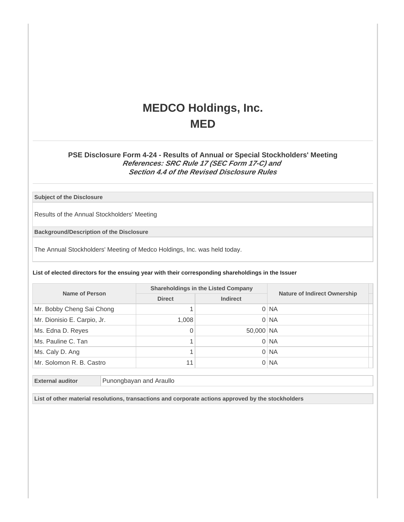# **MEDCO Holdings, Inc. MED**

### **PSE Disclosure Form 4-24 - Results of Annual or Special Stockholders' Meeting References: SRC Rule 17 (SEC Form 17-C) and Section 4.4 of the Revised Disclosure Rules**

#### **Subject of the Disclosure**

Results of the Annual Stockholders' Meeting

**Background/Description of the Disclosure**

The Annual Stockholders' Meeting of Medco Holdings, Inc. was held today.

**List of elected directors for the ensuing year with their corresponding shareholdings in the Issuer**

| Name of Person              | <b>Shareholdings in the Listed Company</b> |                 |                                     |
|-----------------------------|--------------------------------------------|-----------------|-------------------------------------|
|                             | <b>Direct</b>                              | <b>Indirect</b> | <b>Nature of Indirect Ownership</b> |
| Mr. Bobby Cheng Sai Chong   |                                            |                 | $0$ NA                              |
| Mr. Dionisio E. Carpio, Jr. | 1,008                                      |                 | $0$ NA                              |
| Ms. Edna D. Reyes           | 0                                          | 50,000 NA       |                                     |
| Ms. Pauline C. Tan          |                                            |                 | $0$ NA                              |
| Ms. Caly D. Ang             |                                            |                 | $0$ NA                              |
| Mr. Solomon R. B. Castro    | 11                                         |                 | $0$ NA                              |

**External auditor** Punongbayan and Araullo

**List of other material resolutions, transactions and corporate actions approved by the stockholders**